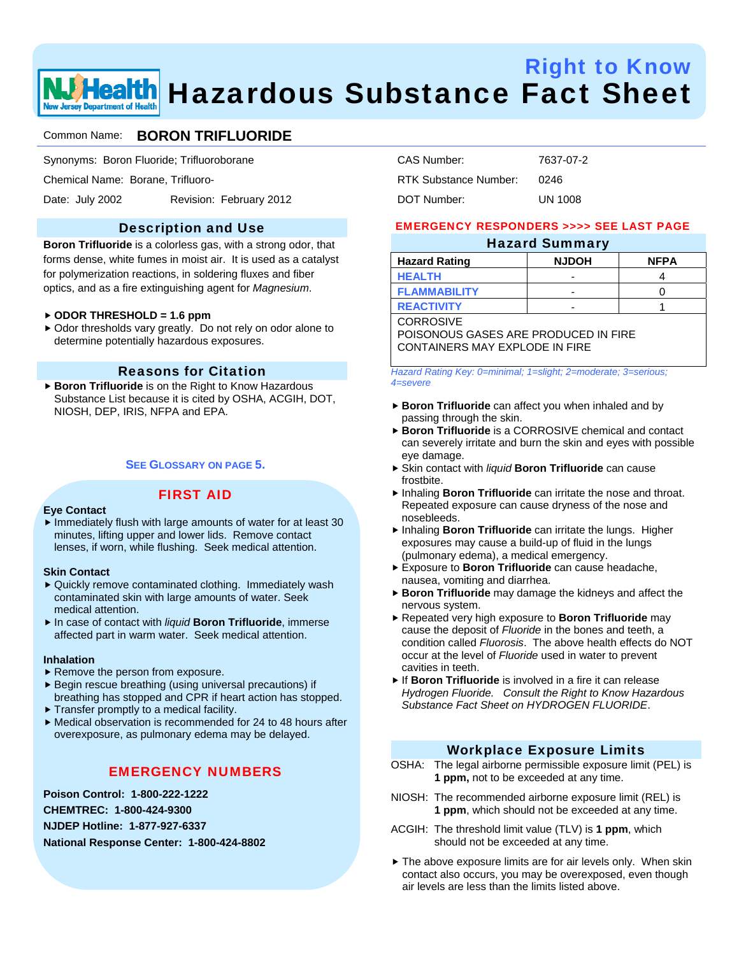# Right to Know **Health** Hazardous Substance Fact Sheet

### Common Name: **BORON TRIFLUORIDE**

Synonyms: Boron Fluoride; Trifluoroborane

Chemical Name: Borane, Trifluoro-

Date: July 2002 Revision: February 2012

### Description and Use

**Boron Trifluoride** is a colorless gas, with a strong odor, that forms dense, white fumes in moist air. It is used as a catalyst for polymerization reactions, in soldering fluxes and fiber optics, and as a fire extinguishing agent for *Magnesium*.

#### f **ODOR THRESHOLD = 1.6 ppm**

▶ Odor thresholds vary greatly. Do not rely on odor alone to determine potentially hazardous exposures.

### Reasons for Citation

▶ Boron Trifluoride is on the Right to Know Hazardous Substance List because it is cited by OSHA, ACGIH, DOT, NIOSH, DEP, IRIS, NFPA and EPA.

#### **SEE GLOSSARY ON PAGE 5.**

#### FIRST AID

#### **Eye Contact**

 $\blacktriangleright$  Immediately flush with large amounts of water for at least 30 minutes, lifting upper and lower lids. Remove contact lenses, if worn, while flushing. Seek medical attention.

#### **Skin Contact**

- $\blacktriangleright$  Quickly remove contaminated clothing. Immediately wash contaminated skin with large amounts of water. Seek medical attention.
- ▶ In case of contact with *liquid* Boron Trifluoride, immerse affected part in warm water. Seek medical attention.

#### **Inhalation**

- $\blacktriangleright$  Remove the person from exposure.
- $\blacktriangleright$  Begin rescue breathing (using universal precautions) if breathing has stopped and CPR if heart action has stopped.
- $\blacktriangleright$  Transfer promptly to a medical facility.
- $\blacktriangleright$  Medical observation is recommended for 24 to 48 hours after overexposure, as pulmonary edema may be delayed.

### EMERGENCY NUMBERS

**Poison Control: 1-800-222-1222 CHEMTREC: 1-800-424-9300 NJDEP Hotline: 1-877-927-6337 National Response Center: 1-800-424-8802** 

| CAS Number:           | 7637-07-2      |
|-----------------------|----------------|
| RTK Substance Number: | 0246           |
| DOT Number:           | <b>UN 1008</b> |

#### EMERGENCY RESPONDERS >>>> SEE LAST PAGE

### Hazard Summary

| --           |             |
|--------------|-------------|
| <b>NJDOH</b> | <b>NFPA</b> |
| -            |             |
| -            |             |
| -            |             |
|              |             |

**CORROSIVE** 

POISONOUS GASES ARE PRODUCED IN FIRE CONTAINERS MAY EXPLODE IN FIRE

*Hazard Rating Key: 0=minimal; 1=slight; 2=moderate; 3=serious; 4=severe* 

- **Boron Trifluoride** can affect you when inhaled and by passing through the skin.
- **► Boron Trifluoride** is a CORROSIVE chemical and contact can severely irritate and burn the skin and eyes with possible eye damage.
- ▶ Skin contact with *liquid* Boron Trifluoride can cause frostbite.
- **F** Inhaling **Boron Trifluoride** can irritate the nose and throat. Repeated exposure can cause dryness of the nose and nosebleeds.
- **h** Inhaling **Boron Trifluoride** can irritate the lungs. Higher exposures may cause a build-up of fluid in the lungs (pulmonary edema), a medical emergency.
- **Exposure to Boron Trifluoride** can cause headache, nausea, vomiting and diarrhea.
- **Boron Trifluoride** may damage the kidneys and affect the nervous system.
- **F** Repeated very high exposure to **Boron Trifluoride** may cause the deposit of *Fluoride* in the bones and teeth, a condition called *Fluorosis*. The above health effects do NOT occur at the level of *Fluoride* used in water to prevent cavities in teeth.
- **F** If **Boron Trifluoride** is involved in a fire it can release *Hydrogen Fluoride. Consult the Right to Know Hazardous Substance Fact Sheet on HYDROGEN FLUORIDE*.

#### Workplace Exposure Limits

- OSHA: The legal airborne permissible exposure limit (PEL) is **1 ppm,** not to be exceeded at any time.
- NIOSH: The recommended airborne exposure limit (REL) is **1 ppm**, which should not be exceeded at any time.
- ACGIH: The threshold limit value (TLV) is **1 ppm**, which should not be exceeded at any time.
- $\blacktriangleright$  The above exposure limits are for air levels only. When skin contact also occurs, you may be overexposed, even though air levels are less than the limits listed above.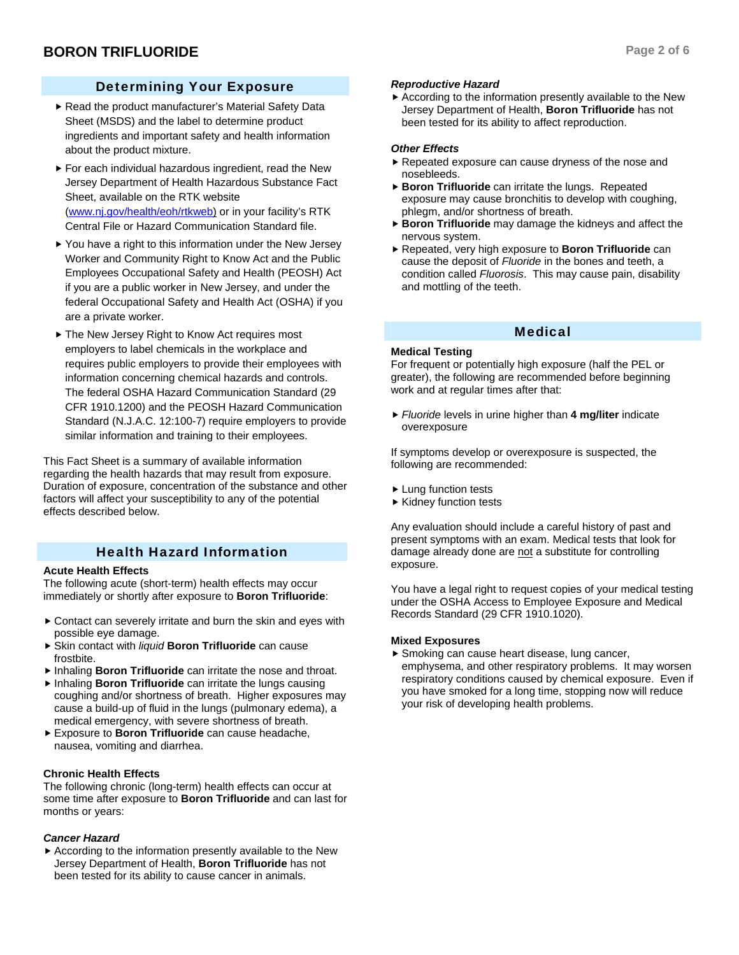### Determining Your Exposure

- Read the product manufacturer's Material Safety Data Sheet (MSDS) and the label to determine product ingredients and important safety and health information about the product mixture.
- $\blacktriangleright$  For each individual hazardous ingredient, read the New Jersey Department of Health Hazardous Substance Fact Sheet, available on the RTK website (www.nj.gov/health/eoh/rtkweb) or in your facility's RTK Central File or Hazard Communication Standard file.
- $\blacktriangleright$  You have a right to this information under the New Jersey Worker and Community Right to Know Act and the Public Employees Occupational Safety and Health (PEOSH) Act if you are a public worker in New Jersey, and under the federal Occupational Safety and Health Act (OSHA) if you are a private worker.
- ▶ The New Jersey Right to Know Act requires most employers to label chemicals in the workplace and requires public employers to provide their employees with information concerning chemical hazards and controls. The federal OSHA Hazard Communication Standard (29 CFR 1910.1200) and the PEOSH Hazard Communication Standard (N.J.A.C. 12:100-7) require employers to provide similar information and training to their employees.

This Fact Sheet is a summary of available information regarding the health hazards that may result from exposure. Duration of exposure, concentration of the substance and other factors will affect your susceptibility to any of the potential effects described below.

### Health Hazard Information

#### **Acute Health Effects**

The following acute (short-term) health effects may occur immediately or shortly after exposure to **Boron Trifluoride**:

- $\triangleright$  Contact can severely irritate and burn the skin and eyes with possible eye damage.
- ▶ Skin contact with *liquid* Boron Trifluoride can cause frostbite.
- **F** Inhaling **Boron Trifluoride** can irritate the nose and throat.
- **Finhaling Boron Trifluoride** can irritate the lungs causing coughing and/or shortness of breath. Higher exposures may cause a build-up of fluid in the lungs (pulmonary edema), a medical emergency, with severe shortness of breath.
- **Exposure to Boron Trifluoride** can cause headache, nausea, vomiting and diarrhea.

#### **Chronic Health Effects**

The following chronic (long-term) health effects can occur at some time after exposure to **Boron Trifluoride** and can last for months or years:

#### *Cancer Hazard*

 $\blacktriangleright$  According to the information presently available to the New Jersey Department of Health, **Boron Trifluoride** has not been tested for its ability to cause cancer in animals.

#### *Reproductive Hazard*

 $\blacktriangleright$  According to the information presently available to the New Jersey Department of Health, **Boron Trifluoride** has not been tested for its ability to affect reproduction.

#### *Other Effects*

- $\blacktriangleright$  Repeated exposure can cause dryness of the nose and nosebleeds.
- **Boron Trifluoride** can irritate the lungs. Repeated exposure may cause bronchitis to develop with coughing, phlegm, and/or shortness of breath.
- **Boron Trifluoride** may damage the kidneys and affect the nervous system.
- $\blacktriangleright$  Repeated, very high exposure to **Boron Trifluoride** can cause the deposit of *Fluoride* in the bones and teeth, a condition called *Fluorosis*. This may cause pain, disability and mottling of the teeth.

#### Medical

#### **Medical Testing**

For frequent or potentially high exposure (half the PEL or greater), the following are recommended before beginning work and at regular times after that:

▶ *Fluoride* levels in urine higher than 4 mg/liter indicate overexposure

If symptoms develop or overexposure is suspected, the following are recommended:

- $\blacktriangleright$  Lung function tests
- $\blacktriangleright$  Kidney function tests

Any evaluation should include a careful history of past and present symptoms with an exam. Medical tests that look for damage already done are not a substitute for controlling exposure.

You have a legal right to request copies of your medical testing under the OSHA Access to Employee Exposure and Medical Records Standard (29 CFR 1910.1020).

#### **Mixed Exposures**

 $\triangleright$  Smoking can cause heart disease, lung cancer, emphysema, and other respiratory problems. It may worsen respiratory conditions caused by chemical exposure. Even if you have smoked for a long time, stopping now will reduce your risk of developing health problems.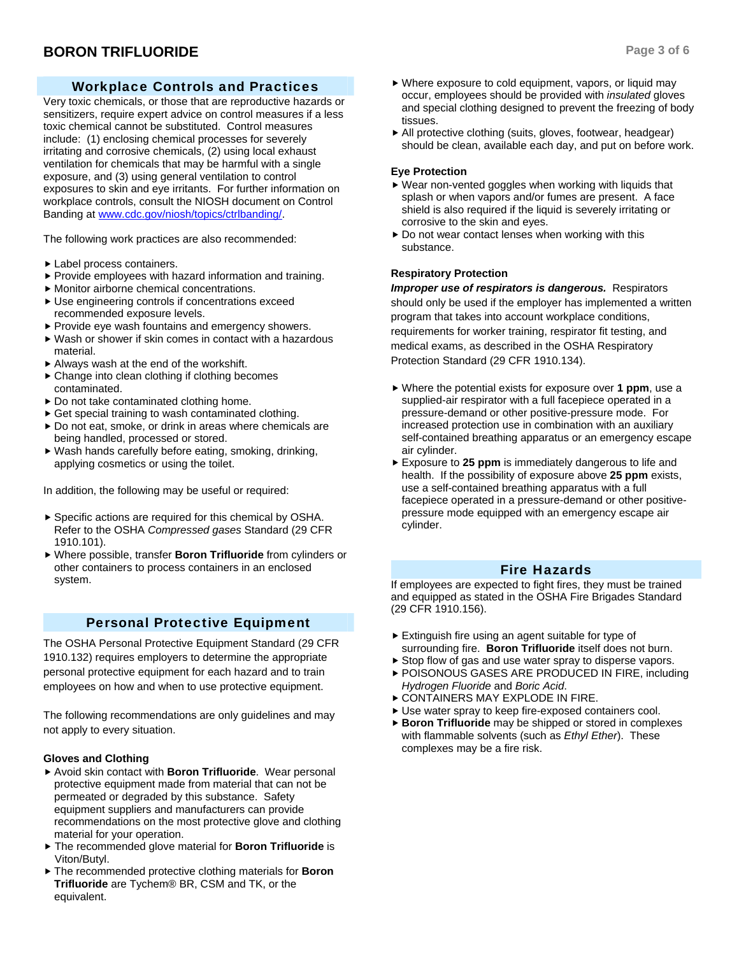### Workplace Controls and Practices

Very toxic chemicals, or those that are reproductive hazards or sensitizers, require expert advice on control measures if a less toxic chemical cannot be substituted. Control measures include: (1) enclosing chemical processes for severely irritating and corrosive chemicals, (2) using local exhaust ventilation for chemicals that may be harmful with a single exposure, and (3) using general ventilation to control exposures to skin and eye irritants. For further information on workplace controls, consult the NIOSH document on Control Banding at www.cdc.gov/niosh/topics/ctrlbanding/.

The following work practices are also recommended:

- $\blacktriangleright$  Label process containers.
- $\blacktriangleright$  Provide employees with hazard information and training.
- $\blacktriangleright$  Monitor airborne chemical concentrations.
- $\blacktriangleright$  Use engineering controls if concentrations exceed recommended exposure levels.
- $\blacktriangleright$  Provide eye wash fountains and emergency showers.
- $\blacktriangleright$  Wash or shower if skin comes in contact with a hazardous material.
- $\blacktriangleright$  Always wash at the end of the workshift.
- $\triangleright$  Change into clean clothing if clothing becomes contaminated.
- $\triangleright$  Do not take contaminated clothing home.
- $\triangleright$  Get special training to wash contaminated clothing.
- $\triangleright$  Do not eat, smoke, or drink in areas where chemicals are being handled, processed or stored.
- $\blacktriangleright$  Wash hands carefully before eating, smoking, drinking, applying cosmetics or using the toilet.

In addition, the following may be useful or required:

- $\triangleright$  Specific actions are required for this chemical by OSHA. Refer to the OSHA *Compressed gases* Standard (29 CFR 1910.101).
- $\triangleright$  Where possible, transfer **Boron Trifluoride** from cylinders or other containers to process containers in an enclosed system.

### Personal Protective Equipment

The OSHA Personal Protective Equipment Standard (29 CFR 1910.132) requires employers to determine the appropriate personal protective equipment for each hazard and to train employees on how and when to use protective equipment.

The following recommendations are only guidelines and may not apply to every situation.

#### **Gloves and Clothing**

- ▶ Avoid skin contact with **Boron Trifluoride**. Wear personal protective equipment made from material that can not be permeated or degraded by this substance. Safety equipment suppliers and manufacturers can provide recommendations on the most protective glove and clothing material for your operation.
- $\triangleright$  The recommended glove material for **Boron Trifluoride** is Viton/Butyl.
- $\triangleright$  The recommended protective clothing materials for **Boron Trifluoride** are Tychem® BR, CSM and TK, or the equivalent.
- $\triangleright$  Where exposure to cold equipment, vapors, or liquid may occur, employees should be provided with *insulated* gloves and special clothing designed to prevent the freezing of body tissues.
- $\blacktriangleright$  All protective clothing (suits, gloves, footwear, headgear) should be clean, available each day, and put on before work.

#### **Eye Protection**

- $\blacktriangleright$  Wear non-vented goggles when working with liquids that splash or when vapors and/or fumes are present. A face shield is also required if the liquid is severely irritating or corrosive to the skin and eyes.
- $\triangleright$  Do not wear contact lenses when working with this substance.

#### **Respiratory Protection**

*Improper use of respirators is dangerous.* Respirators should only be used if the employer has implemented a written program that takes into account workplace conditions, requirements for worker training, respirator fit testing, and medical exams, as described in the OSHA Respiratory Protection Standard (29 CFR 1910.134).

- Where the potential exists for exposure over **1 ppm**, use a supplied-air respirator with a full facepiece operated in a pressure-demand or other positive-pressure mode. For increased protection use in combination with an auxiliary self-contained breathing apparatus or an emergency escape air cylinder.
- ► Exposure to 25 ppm is immediately dangerous to life and health. If the possibility of exposure above **25 ppm** exists, use a self-contained breathing apparatus with a full facepiece operated in a pressure-demand or other positivepressure mode equipped with an emergency escape air cylinder.

### Fire Hazards

If employees are expected to fight fires, they must be trained and equipped as stated in the OSHA Fire Brigades Standard (29 CFR 1910.156).

- $\blacktriangleright$  Extinguish fire using an agent suitable for type of surrounding fire. **Boron Trifluoride** itself does not burn.
- $\triangleright$  Stop flow of gas and use water spray to disperse vapors.
- ▶ POISONOUS GASES ARE PRODUCED IN FIRE, including *Hydrogen Fluoride* and *Boric Acid*.
- **CONTAINERS MAY EXPLODE IN FIRE.**
- Use water spray to keep fire-exposed containers cool.
- **Boron Trifluoride** may be shipped or stored in complexes with flammable solvents (such as *Ethyl Ether*). These complexes may be a fire risk.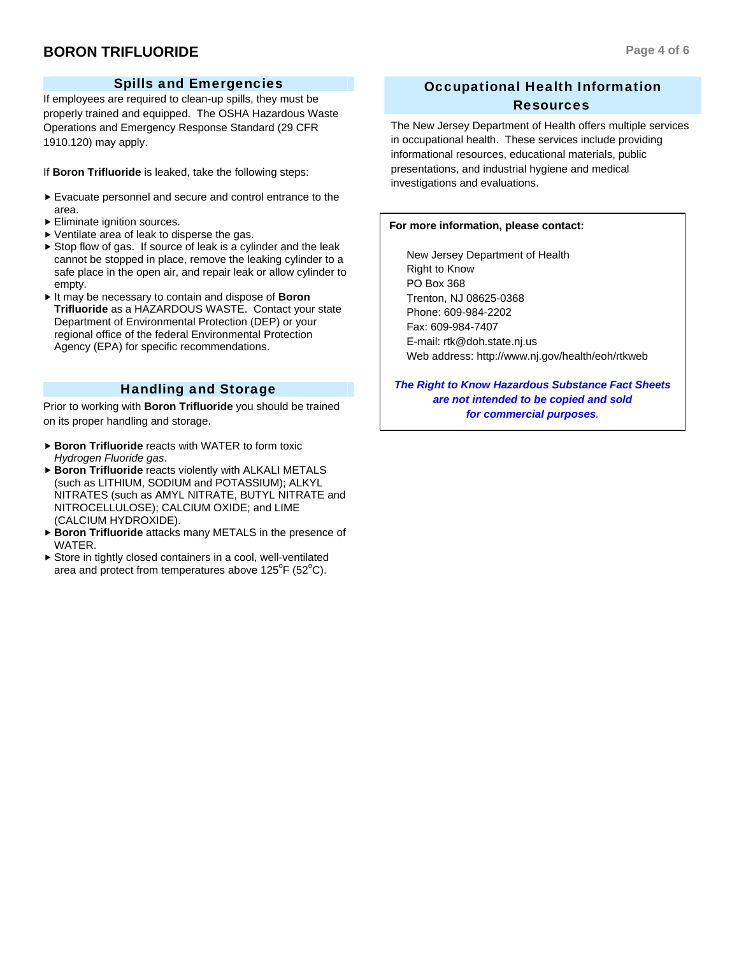### Spills and Emergencies

If employees are required to clean-up spills, they must be properly trained and equipped. The OSHA Hazardous Waste Operations and Emergency Response Standard (29 CFR 1910.120) may apply.

If **Boron Trifluoride** is leaked, take the following steps:

- $\blacktriangleright$  Evacuate personnel and secure and control entrance to the area.
- $\blacktriangleright$  Eliminate ignition sources.
- $\blacktriangleright$  Ventilate area of leak to disperse the gas.
- $\triangleright$  Stop flow of gas. If source of leak is a cylinder and the leak cannot be stopped in place, remove the leaking cylinder to a safe place in the open air, and repair leak or allow cylinder to empty.
- ► It may be necessary to contain and dispose of **Boron Trifluoride** as a HAZARDOUS WASTE. Contact your state Department of Environmental Protection (DEP) or your regional office of the federal Environmental Protection Agency (EPA) for specific recommendations.

### Handling and Storage

Prior to working with **Boron Trifluoride** you should be trained on its proper handling and storage.

- **Boron Trifluoride** reacts with WATER to form toxic *Hydrogen Fluoride gas*.
- **Boron Trifluoride** reacts violently with ALKALI METALS (such as LITHIUM, SODIUM and POTASSIUM); ALKYL NITRATES (such as AMYL NITRATE, BUTYL NITRATE and NITROCELLULOSE); CALCIUM OXIDE; and LIME (CALCIUM HYDROXIDE).
- **Boron Trifluoride** attacks many METALS in the presence of WATER.
- $\triangleright$  Store in tightly closed containers in a cool, well-ventilated area and protect from temperatures above  $125^{\circ}$ F (52 $^{\circ}$ C).

## Occupational Health Information Resources

The New Jersey Department of Health offers multiple services in occupational health. These services include providing informational resources, educational materials, public presentations, and industrial hygiene and medical investigations and evaluations.

#### **For more information, please contact:**

 New Jersey Department of Health Right to Know PO Box 368 Trenton, NJ 08625-0368 Phone: 609-984-2202 Fax: 609-984-7407 E-mail: rtk@doh.state.nj.us Web address: http://www.nj.gov/health/eoh/rtkweb

*The Right to Know Hazardous Substance Fact Sheets are not intended to be copied and sold for commercial purposes.*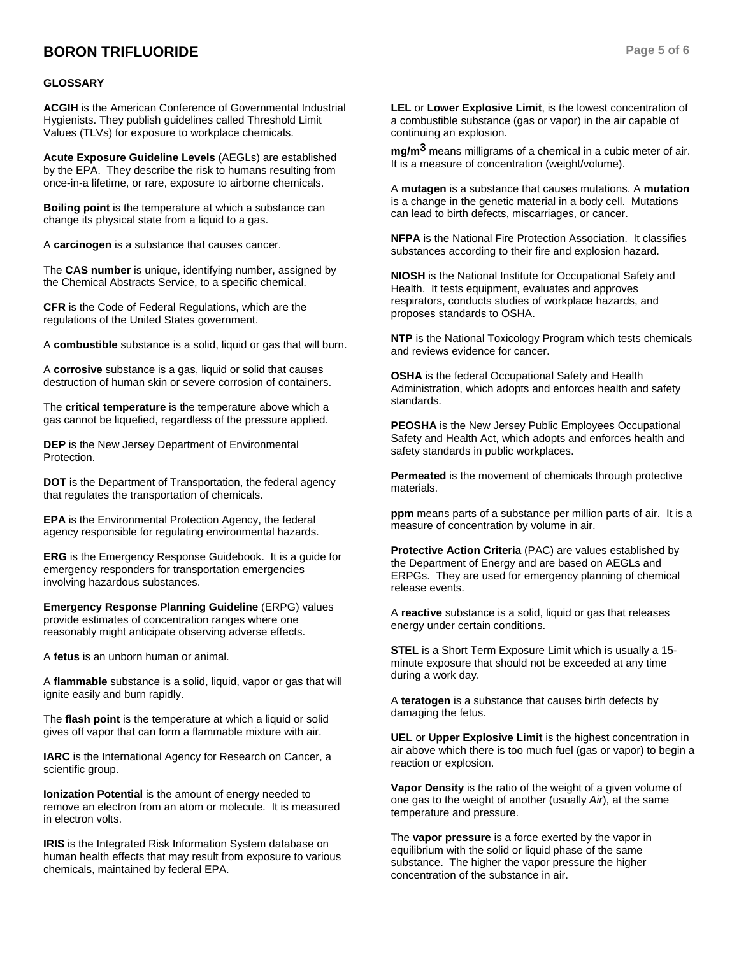### **BORON TRIFLUORIDE Page 5 of 6**

#### **GLOSSARY**

**ACGIH** is the American Conference of Governmental Industrial Hygienists. They publish guidelines called Threshold Limit Values (TLVs) for exposure to workplace chemicals.

**Acute Exposure Guideline Levels** (AEGLs) are established by the EPA. They describe the risk to humans resulting from once-in-a lifetime, or rare, exposure to airborne chemicals.

**Boiling point** is the temperature at which a substance can change its physical state from a liquid to a gas.

A **carcinogen** is a substance that causes cancer.

The **CAS number** is unique, identifying number, assigned by the Chemical Abstracts Service, to a specific chemical.

**CFR** is the Code of Federal Regulations, which are the regulations of the United States government.

A **combustible** substance is a solid, liquid or gas that will burn.

A **corrosive** substance is a gas, liquid or solid that causes destruction of human skin or severe corrosion of containers.

The **critical temperature** is the temperature above which a gas cannot be liquefied, regardless of the pressure applied.

**DEP** is the New Jersey Department of Environmental Protection.

**DOT** is the Department of Transportation, the federal agency that regulates the transportation of chemicals.

**EPA** is the Environmental Protection Agency, the federal agency responsible for regulating environmental hazards.

**ERG** is the Emergency Response Guidebook. It is a guide for emergency responders for transportation emergencies involving hazardous substances.

**Emergency Response Planning Guideline** (ERPG) values provide estimates of concentration ranges where one reasonably might anticipate observing adverse effects.

A **fetus** is an unborn human or animal.

A **flammable** substance is a solid, liquid, vapor or gas that will ignite easily and burn rapidly.

The **flash point** is the temperature at which a liquid or solid gives off vapor that can form a flammable mixture with air.

**IARC** is the International Agency for Research on Cancer, a scientific group.

**Ionization Potential** is the amount of energy needed to remove an electron from an atom or molecule. It is measured in electron volts.

**IRIS** is the Integrated Risk Information System database on human health effects that may result from exposure to various chemicals, maintained by federal EPA.

**LEL** or **Lower Explosive Limit**, is the lowest concentration of a combustible substance (gas or vapor) in the air capable of continuing an explosion.

**mg/m3** means milligrams of a chemical in a cubic meter of air. It is a measure of concentration (weight/volume).

A **mutagen** is a substance that causes mutations. A **mutation** is a change in the genetic material in a body cell. Mutations can lead to birth defects, miscarriages, or cancer.

**NFPA** is the National Fire Protection Association. It classifies substances according to their fire and explosion hazard.

**NIOSH** is the National Institute for Occupational Safety and Health. It tests equipment, evaluates and approves respirators, conducts studies of workplace hazards, and proposes standards to OSHA.

**NTP** is the National Toxicology Program which tests chemicals and reviews evidence for cancer.

**OSHA** is the federal Occupational Safety and Health Administration, which adopts and enforces health and safety standards.

**PEOSHA** is the New Jersey Public Employees Occupational Safety and Health Act, which adopts and enforces health and safety standards in public workplaces.

**Permeated** is the movement of chemicals through protective materials.

**ppm** means parts of a substance per million parts of air. It is a measure of concentration by volume in air.

**Protective Action Criteria** (PAC) are values established by the Department of Energy and are based on AEGLs and ERPGs. They are used for emergency planning of chemical release events.

A **reactive** substance is a solid, liquid or gas that releases energy under certain conditions.

**STEL** is a Short Term Exposure Limit which is usually a 15 minute exposure that should not be exceeded at any time during a work day.

A **teratogen** is a substance that causes birth defects by damaging the fetus.

**UEL** or **Upper Explosive Limit** is the highest concentration in air above which there is too much fuel (gas or vapor) to begin a reaction or explosion.

**Vapor Density** is the ratio of the weight of a given volume of one gas to the weight of another (usually *Air*), at the same temperature and pressure.

The **vapor pressure** is a force exerted by the vapor in equilibrium with the solid or liquid phase of the same substance. The higher the vapor pressure the higher concentration of the substance in air.